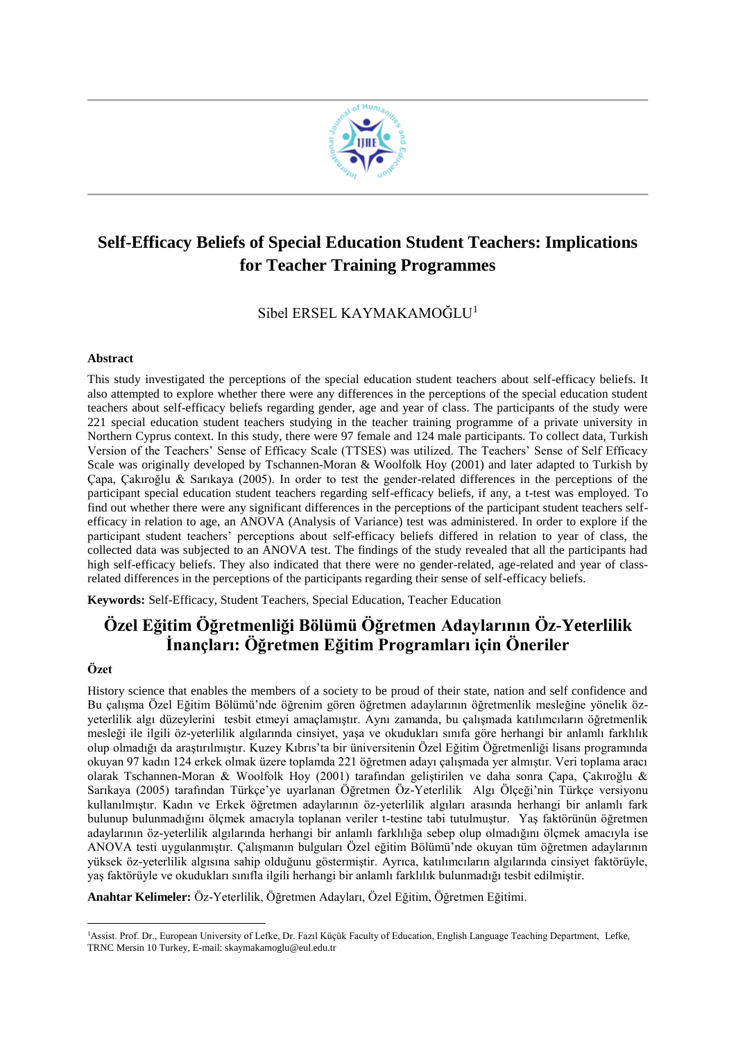

# **Self-Efficacy Beliefs of Special Education Student Teachers: Implications for Teacher Training Programmes**

Sibel ERSEL KAYMAKAMOĞLU<sup>1</sup>

#### **Abstract**

This study investigated the perceptions of the special education student teachers about self-efficacy beliefs. It also attempted to explore whether there were any differences in the perceptions of the special education student teachers about self-efficacy beliefs regarding gender, age and year of class. The participants of the study were 221 special education student teachers studying in the teacher training programme of a private university in Northern Cyprus context. In this study, there were 97 female and 124 male participants. To collect data, Turkish Version of the Teachers' Sense of Efficacy Scale (TTSES) was utilized. The Teachers' Sense of Self Efficacy Scale was originally developed by Tschannen-Moran & Woolfolk Hoy (2001) and later adapted to Turkish by Çapa, Çakıroğlu & Sarıkaya (2005). In order to test the gender-related differences in the perceptions of the participant special education student teachers regarding self-efficacy beliefs, if any, a t-test was employed. To find out whether there were any significant differences in the perceptions of the participant student teachers selfefficacy in relation to age, an ANOVA (Analysis of Variance) test was administered. In order to explore if the participant student teachers' perceptions about self-efficacy beliefs differed in relation to year of class, the collected data was subjected to an ANOVA test. The findings of the study revealed that all the participants had high self-efficacy beliefs. They also indicated that there were no gender-related, age-related and year of classrelated differences in the perceptions of the participants regarding their sense of self-efficacy beliefs.

**Keywords:** Self-Efficacy, Student Teachers, Special Education, Teacher Education

## **Özel Eğitim Öğretmenliği Bölümü Öğretmen Adaylarının Öz-Yeterlilik İnançları: Öğretmen Eğitim Programları için Öneriler**

#### **Özet**

History science that enables the members of a society to be proud of their state, nation and self confidence and Bu çalışma Özel Eğitim Bölümü'nde öğrenim gören öğretmen adaylarının öğretmenlik mesleğine yönelik özyeterlilik algı düzeylerini tesbit etmeyi amaçlamıştır. Aynı zamanda, bu çalışmada katılımcıların öğretmenlik mesleği ile ilgili öz-yeterlilik algılarında cinsiyet, yaşa ve okudukları sınıfa göre herhangi bir anlamlı farklılık olup olmadığı da araştırılmıştır. Kuzey Kıbrıs'ta bir üniversitenin Özel Eğitim Öğretmenliği lisans programında okuyan 97 kadın 124 erkek olmak üzere toplamda 221 öğretmen adayı çalışmada yer almıştır. Veri toplama aracı olarak Tschannen-Moran & Woolfolk Hoy (2001) tarafından geliştirilen ve daha sonra Çapa, Çakıroğlu & Sarıkaya (2005) tarafından Türkçe'ye uyarlanan Öğretmen Öz-Yeterlilik Algı Ölçeği'nin Türkçe versiyonu kullanılmıştır. Kadın ve Erkek öğretmen adaylarının öz-yeterlilik algıları arasında herhangi bir anlamlı fark bulunup bulunmadığını ölçmek amacıyla toplanan veriler t-testine tabi tutulmuştur. Yaş faktörünün öğretmen adaylarının öz-yeterlilik algılarında herhangi bir anlamlı farklılığa sebep olup olmadığını ölçmek amacıyla ise ANOVA testi uygulanmıştır. Çalışmanın bulguları Özel eğitim Bölümü'nde okuyan tüm öğretmen adaylarının yüksek öz-yeterlilik algısına sahip olduğunu göstermiştir. Ayrıca, katılımcıların algılarında cinsiyet faktörüyle, yaş faktörüyle ve okudukları sınıfla ilgili herhangi bir anlamlı farklılık bulunmadığı tesbit edilmiştir.

**Anahtar Kelimeler:** Öz-Yeterlilik, Öğretmen Adayları, Özel Eğitim, Öğretmen Eğitimi.

<sup>1</sup> <sup>1</sup>Assist. Prof. Dr., European University of Lefke, Dr. Fazıl Küçük Faculty of Education, English Language Teaching Department, Lefke, TRNC Mersin 10 Turkey, E-mail: skaymakamoglu@eul.edu.tr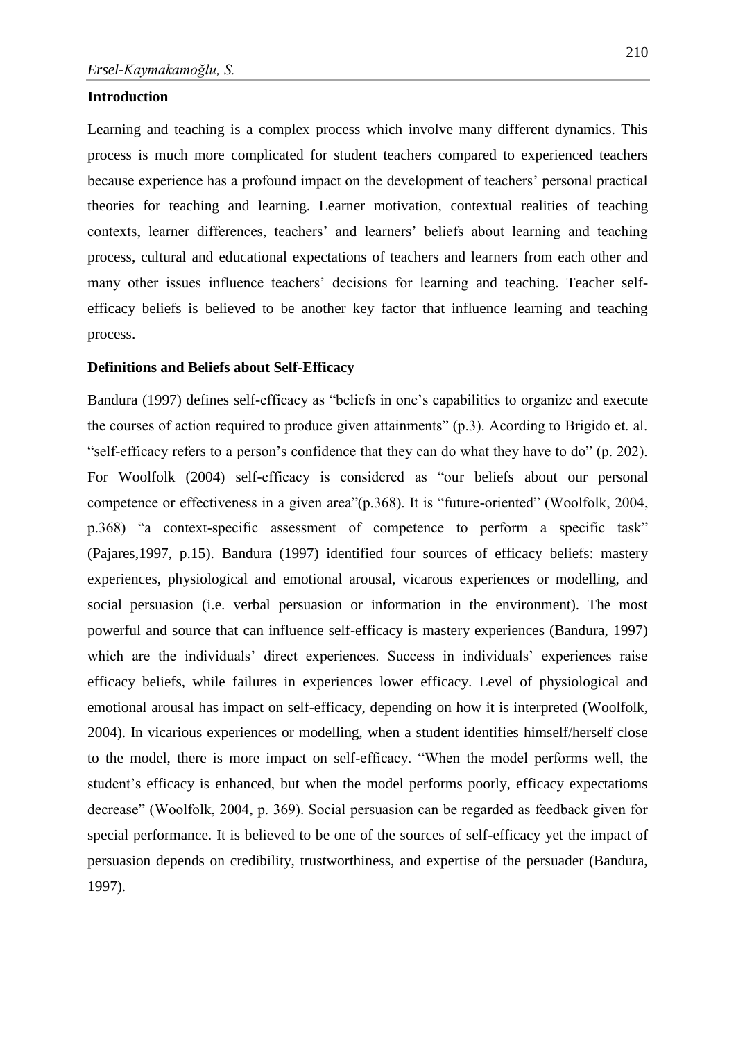#### **Introduction**

Learning and teaching is a complex process which involve many different dynamics. This process is much more complicated for student teachers compared to experienced teachers because experience has a profound impact on the development of teachers' personal practical theories for teaching and learning. Learner motivation, contextual realities of teaching contexts, learner differences, teachers' and learners' beliefs about learning and teaching process, cultural and educational expectations of teachers and learners from each other and many other issues influence teachers' decisions for learning and teaching. Teacher selfefficacy beliefs is believed to be another key factor that influence learning and teaching process.

#### **Definitions and Beliefs about Self-Efficacy**

Bandura (1997) defines self-efficacy as "beliefs in one's capabilities to organize and execute the courses of action required to produce given attainments" (p.3). Acording to Brigido et. al. "self-efficacy refers to a person's confidence that they can do what they have to do" (p. 202). For Woolfolk (2004) self-efficacy is considered as "our beliefs about our personal competence or effectiveness in a given area"(p.368). It is "future-oriented" (Woolfolk, 2004, p.368) "a context-specific assessment of competence to perform a specific task" (Pajares,1997, p.15). Bandura (1997) identified four sources of efficacy beliefs: mastery experiences, physiological and emotional arousal, vicarous experiences or modelling, and social persuasion (i.e. verbal persuasion or information in the environment). The most powerful and source that can influence self-efficacy is mastery experiences (Bandura, 1997) which are the individuals' direct experiences. Success in individuals' experiences raise efficacy beliefs, while failures in experiences lower efficacy. Level of physiological and emotional arousal has impact on self-efficacy, depending on how it is interpreted (Woolfolk, 2004). In vicarious experiences or modelling, when a student identifies himself/herself close to the model, there is more impact on self-efficacy. "When the model performs well, the student's efficacy is enhanced, but when the model performs poorly, efficacy expectatioms decrease" (Woolfolk, 2004, p. 369). Social persuasion can be regarded as feedback given for special performance. It is believed to be one of the sources of self-efficacy yet the impact of persuasion depends on credibility, trustworthiness, and expertise of the persuader (Bandura, 1997).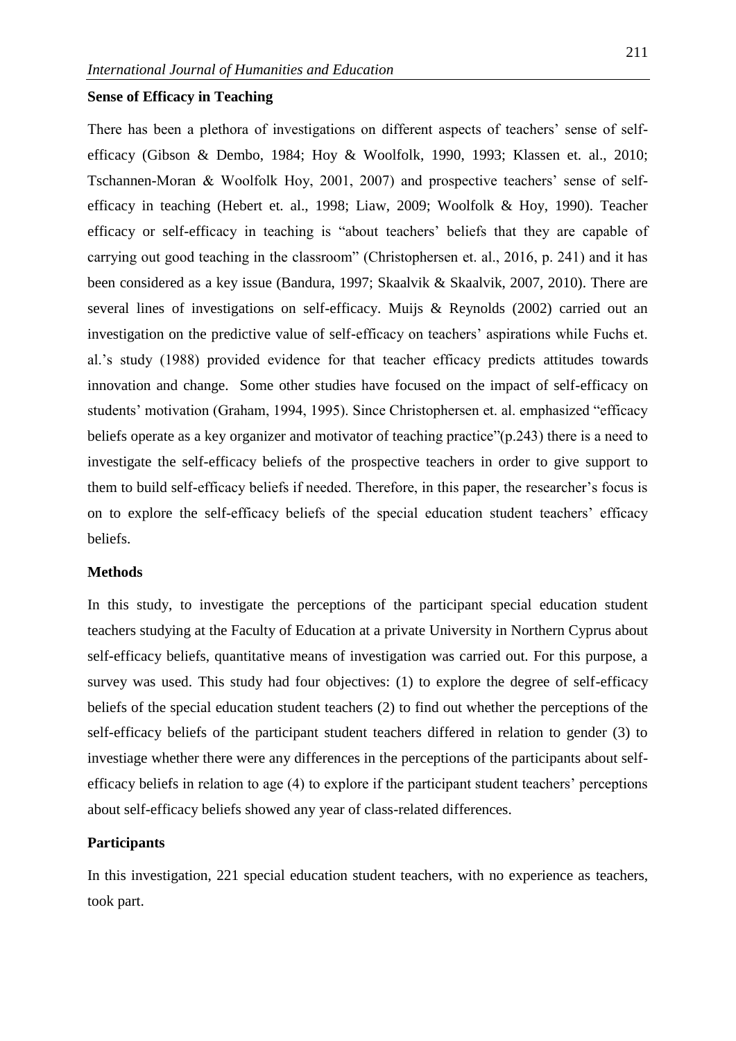## **Sense of Efficacy in Teaching**

There has been a plethora of investigations on different aspects of teachers' sense of selfefficacy (Gibson & Dembo, 1984; Hoy & Woolfolk, 1990, 1993; Klassen et. al., 2010; Tschannen-Moran & Woolfolk Hoy, 2001, 2007) and prospective teachers' sense of selfefficacy in teaching (Hebert et. al., 1998; Liaw, 2009; Woolfolk & Hoy, 1990). Teacher efficacy or self-efficacy in teaching is "about teachers' beliefs that they are capable of carrying out good teaching in the classroom" (Christophersen et. al., 2016, p. 241) and it has been considered as a key issue (Bandura, 1997; Skaalvik & Skaalvik, 2007, 2010). There are several lines of investigations on self-efficacy. Muijs & Reynolds (2002) carried out an investigation on the predictive value of self-efficacy on teachers' aspirations while Fuchs et. al.'s study (1988) provided evidence for that teacher efficacy predicts attitudes towards innovation and change. Some other studies have focused on the impact of self-efficacy on students' motivation (Graham, 1994, 1995). Since Christophersen et. al. emphasized "efficacy beliefs operate as a key organizer and motivator of teaching practice" (p.243) there is a need to investigate the self-efficacy beliefs of the prospective teachers in order to give support to them to build self-efficacy beliefs if needed. Therefore, in this paper, the researcher's focus is on to explore the self-efficacy beliefs of the special education student teachers' efficacy beliefs.

#### **Methods**

In this study, to investigate the perceptions of the participant special education student teachers studying at the Faculty of Education at a private University in Northern Cyprus about self-efficacy beliefs, quantitative means of investigation was carried out. For this purpose, a survey was used. This study had four objectives: (1) to explore the degree of self-efficacy beliefs of the special education student teachers (2) to find out whether the perceptions of the self-efficacy beliefs of the participant student teachers differed in relation to gender (3) to investiage whether there were any differences in the perceptions of the participants about selfefficacy beliefs in relation to age (4) to explore if the participant student teachers' perceptions about self-efficacy beliefs showed any year of class-related differences.

#### **Participants**

In this investigation, 221 special education student teachers, with no experience as teachers, took part.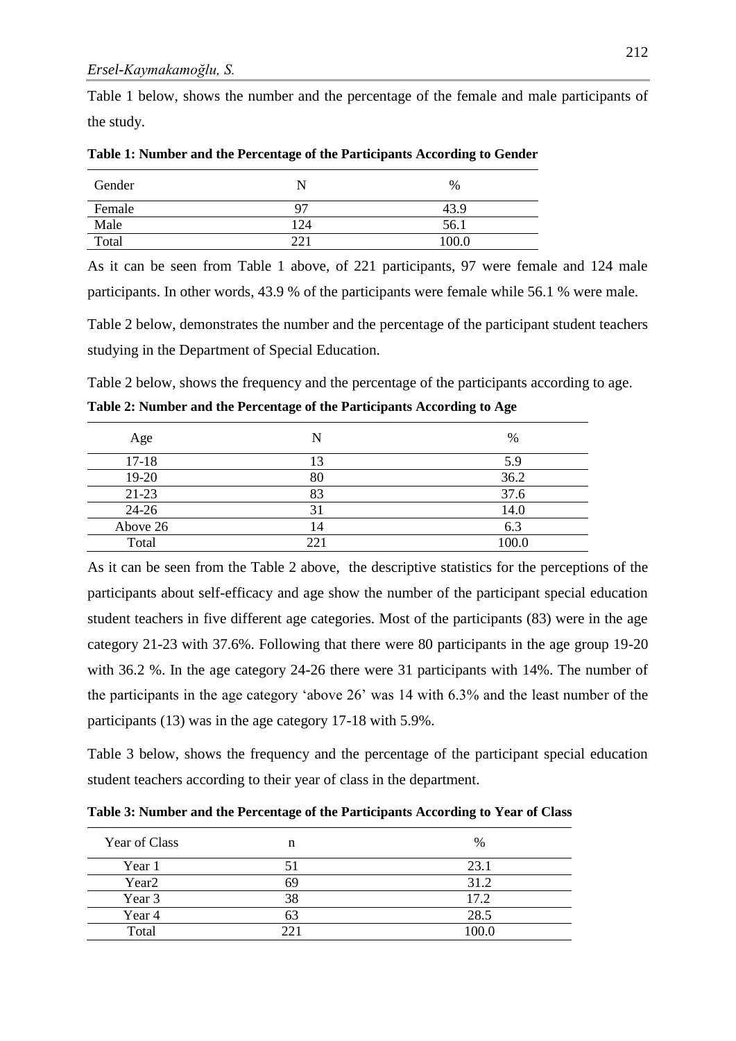Table 1 below, shows the number and the percentage of the female and male participants of the study.

| Gender |     | $\%$  |
|--------|-----|-------|
| Female | 97  | 43.9  |
| Male   | 124 | 56.1  |
| Total  | ററ  | 100.0 |

**Table 1: Number and the Percentage of the Participants According to Gender**

As it can be seen from Table 1 above, of 221 participants, 97 were female and 124 male participants. In other words, 43.9 % of the participants were female while 56.1 % were male.

Table 2 below, demonstrates the number and the percentage of the participant student teachers studying in the Department of Special Education.

Table 2 below, shows the frequency and the percentage of the participants according to age. **Table 2: Number and the Percentage of the Participants According to Age**

| Age       | N   | %     |
|-----------|-----|-------|
| $17 - 18$ | 13  | 5.9   |
| 19-20     | 80  | 36.2  |
| 21-23     | 83  | 37.6  |
| 24-26     | 31  | 14.0  |
| Above 26  | 14  | 6.3   |
| Total     | 221 | 100.0 |

As it can be seen from the Table 2 above, the descriptive statistics for the perceptions of the participants about self-efficacy and age show the number of the participant special education student teachers in five different age categories. Most of the participants (83) were in the age category 21-23 with 37.6%. Following that there were 80 participants in the age group 19-20 with 36.2 %. In the age category 24-26 there were 31 participants with 14%. The number of the participants in the age category 'above 26' was 14 with 6.3% and the least number of the participants (13) was in the age category 17-18 with 5.9%.

Table 3 below, shows the frequency and the percentage of the participant special education student teachers according to their year of class in the department.

**Table 3: Number and the Percentage of the Participants According to Year of Class**

| Year of Class     | n  | %    |
|-------------------|----|------|
| Year 1            |    | 23.1 |
| Year <sub>2</sub> | 69 | 31.2 |
| Year 3            | 38 | 17.2 |
| Year 4            |    | 28.5 |
| Total             |    | 00.0 |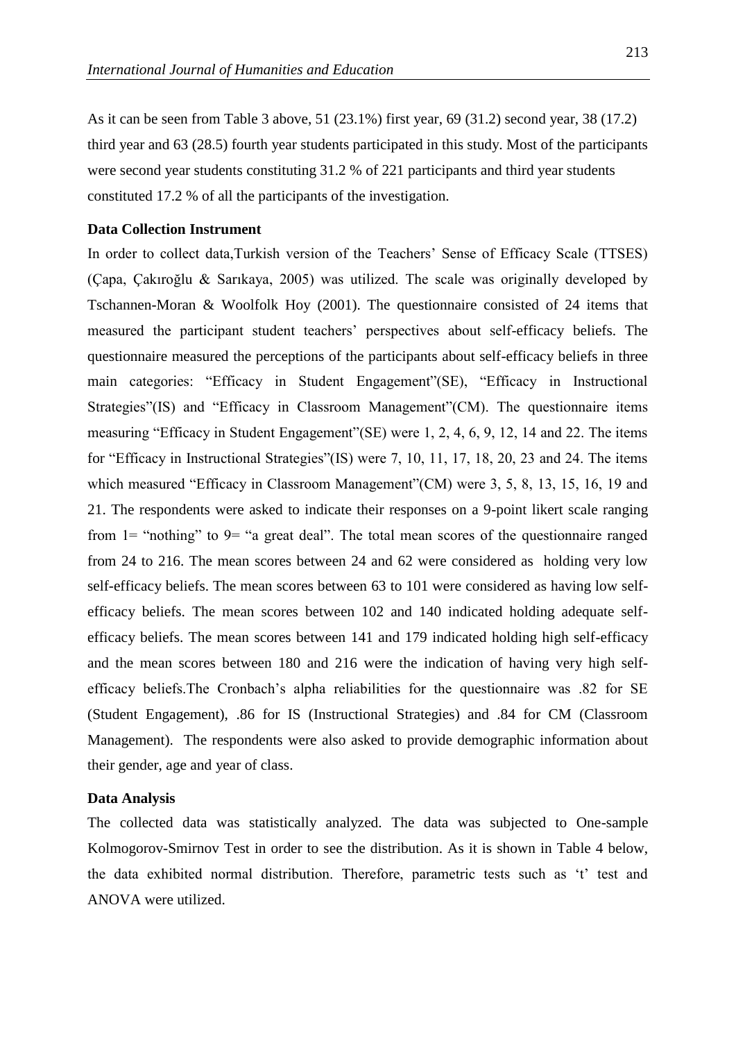As it can be seen from Table 3 above, 51 (23.1%) first year, 69 (31.2) second year, 38 (17.2) third year and 63 (28.5) fourth year students participated in this study. Most of the participants were second year students constituting 31.2 % of 221 participants and third year students constituted 17.2 % of all the participants of the investigation.

#### **Data Collection Instrument**

In order to collect data,Turkish version of the Teachers' Sense of Efficacy Scale (TTSES) (Çapa, Çakıroğlu & Sarıkaya, 2005) was utilized. The scale was originally developed by Tschannen-Moran & Woolfolk Hoy (2001). The questionnaire consisted of 24 items that measured the participant student teachers' perspectives about self-efficacy beliefs. The questionnaire measured the perceptions of the participants about self-efficacy beliefs in three main categories: "Efficacy in Student Engagement"(SE), "Efficacy in Instructional Strategies"(IS) and "Efficacy in Classroom Management"(CM). The questionnaire items measuring "Efficacy in Student Engagement"(SE) were 1, 2, 4, 6, 9, 12, 14 and 22. The items for "Efficacy in Instructional Strategies"(IS) were 7, 10, 11, 17, 18, 20, 23 and 24. The items which measured "Efficacy in Classroom Management"(CM) were 3, 5, 8, 13, 15, 16, 19 and 21. The respondents were asked to indicate their responses on a 9-point likert scale ranging from  $1=$  "nothing" to  $9=$  "a great deal". The total mean scores of the questionnaire ranged from 24 to 216. The mean scores between 24 and 62 were considered as holding very low self-efficacy beliefs. The mean scores between 63 to 101 were considered as having low selfefficacy beliefs. The mean scores between 102 and 140 indicated holding adequate selfefficacy beliefs. The mean scores between 141 and 179 indicated holding high self-efficacy and the mean scores between 180 and 216 were the indication of having very high selfefficacy beliefs.The Cronbach's alpha reliabilities for the questionnaire was .82 for SE (Student Engagement), .86 for IS (Instructional Strategies) and .84 for CM (Classroom Management). The respondents were also asked to provide demographic information about their gender, age and year of class.

#### **Data Analysis**

The collected data was statistically analyzed. The data was subjected to One-sample Kolmogorov-Smirnov Test in order to see the distribution. As it is shown in Table 4 below, the data exhibited normal distribution. Therefore, parametric tests such as 't' test and ANOVA were utilized.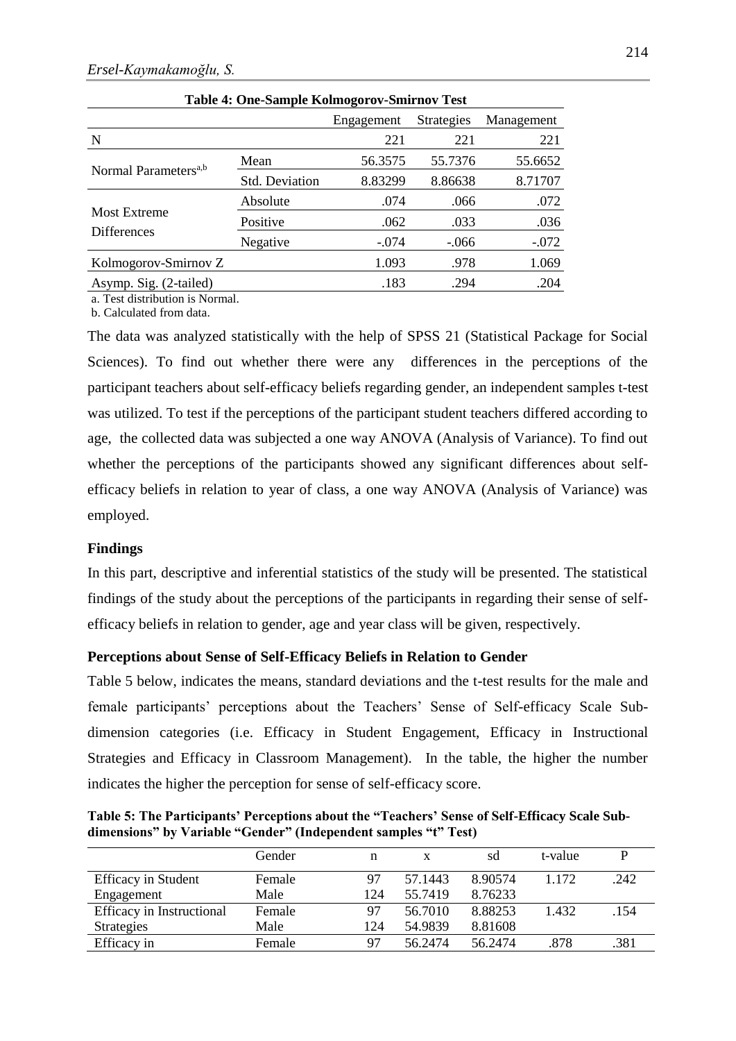|                                  | Table +. One-painple isomogol ov-plim hove rest |            |                   |            |  |  |
|----------------------------------|-------------------------------------------------|------------|-------------------|------------|--|--|
|                                  |                                                 | Engagement | <b>Strategies</b> | Management |  |  |
| N                                |                                                 | 221        | 221               | 221        |  |  |
|                                  | Mean                                            | 56.3575    | 55.7376           | 55.6652    |  |  |
| Normal Parameters <sup>a,b</sup> | Std. Deviation                                  | 8.83299    | 8.86638           | 8.71707    |  |  |
|                                  | Absolute                                        | .074       | .066              | .072       |  |  |
| <b>Most Extreme</b>              | Positive                                        | .062       | .033              | .036       |  |  |
| <b>Differences</b>               | Negative                                        | $-.074$    | $-.066$           | $-.072$    |  |  |
| Kolmogorov-Smirnov Z             |                                                 | 1.093      | .978              | 1.069      |  |  |
| Asymp. Sig. (2-tailed)           |                                                 | .183       | .294              | .204       |  |  |

|  |  |  | Table 4: One-Sample Kolmogorov-Smirnov Test |  |
|--|--|--|---------------------------------------------|--|
|--|--|--|---------------------------------------------|--|

a. Test distribution is Normal. b. Calculated from data.

The data was analyzed statistically with the help of SPSS 21 (Statistical Package for Social Sciences). To find out whether there were any differences in the perceptions of the participant teachers about self-efficacy beliefs regarding gender, an independent samples t-test was utilized. To test if the perceptions of the participant student teachers differed according to age, the collected data was subjected a one way ANOVA (Analysis of Variance). To find out whether the perceptions of the participants showed any significant differences about selfefficacy beliefs in relation to year of class, a one way ANOVA (Analysis of Variance) was employed.

#### **Findings**

In this part, descriptive and inferential statistics of the study will be presented. The statistical findings of the study about the perceptions of the participants in regarding their sense of selfefficacy beliefs in relation to gender, age and year class will be given, respectively.

## **Perceptions about Sense of Self-Efficacy Beliefs in Relation to Gender**

Table 5 below, indicates the means, standard deviations and the t-test results for the male and female participants' perceptions about the Teachers' Sense of Self-efficacy Scale Subdimension categories (i.e. Efficacy in Student Engagement, Efficacy in Instructional Strategies and Efficacy in Classroom Management). In the table, the higher the number indicates the higher the perception for sense of self-efficacy score.

**Table 5: The Participants' Perceptions about the "Teachers' Sense of Self-Efficacy Scale Subdimensions" by Variable "Gender" (Independent samples "t" Test)**

|                            | Gender | n   | X       | sd      | t-value |      |
|----------------------------|--------|-----|---------|---------|---------|------|
| <b>Efficacy</b> in Student | Female | 97  | 57.1443 | 8.90574 | 1.172   | .242 |
| Engagement                 | Male   | 124 | 55.7419 | 8.76233 |         |      |
| Efficacy in Instructional  | Female | 97  | 56.7010 | 8.88253 | 1.432   | .154 |
| <b>Strategies</b>          | Male   | 124 | 54.9839 | 8.81608 |         |      |
| Efficacy in                | Female | 97  | 56.2474 | 56.2474 | .878    | .381 |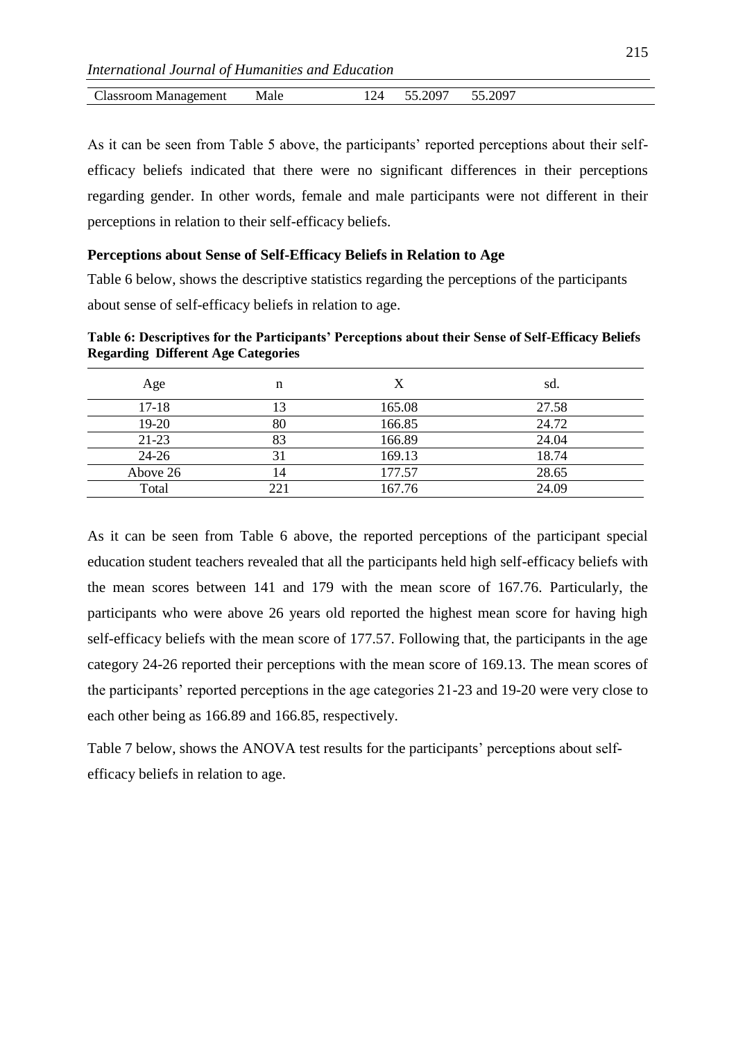| Llassroom<br>Management<br>оонг | Male | $\prime$<br>-- | . 200 $\sim$<br>-<br>$\sim$ . $\sim$<br>$\sim$ | ں∠. |  |
|---------------------------------|------|----------------|------------------------------------------------|-----|--|

As it can be seen from Table 5 above, the participants' reported perceptions about their selfefficacy beliefs indicated that there were no significant differences in their perceptions regarding gender. In other words, female and male participants were not different in their perceptions in relation to their self-efficacy beliefs.

## **Perceptions about Sense of Self-Efficacy Beliefs in Relation to Age**

Table 6 below, shows the descriptive statistics regarding the perceptions of the participants about sense of self-efficacy beliefs in relation to age.

**Table 6: Descriptives for the Participants' Perceptions about their Sense of Self-Efficacy Beliefs Regarding Different Age Categories**

| Age       | n  | X      | sd.   |
|-----------|----|--------|-------|
| $17-18$   | 13 | 165.08 | 27.58 |
| $19-20$   | 80 | 166.85 | 24.72 |
| $21-23$   | 83 | 166.89 | 24.04 |
| $24 - 26$ |    | 169.13 | 18.74 |
| Above 26  | 14 | 177.57 | 28.65 |
| Total     | 21 | 167.76 | 24.09 |

As it can be seen from Table 6 above, the reported perceptions of the participant special education student teachers revealed that all the participants held high self-efficacy beliefs with the mean scores between 141 and 179 with the mean score of 167.76. Particularly, the participants who were above 26 years old reported the highest mean score for having high self-efficacy beliefs with the mean score of 177.57. Following that, the participants in the age category 24-26 reported their perceptions with the mean score of 169.13. The mean scores of the participants' reported perceptions in the age categories 21-23 and 19-20 were very close to each other being as 166.89 and 166.85, respectively.

Table 7 below, shows the ANOVA test results for the participants' perceptions about selfefficacy beliefs in relation to age.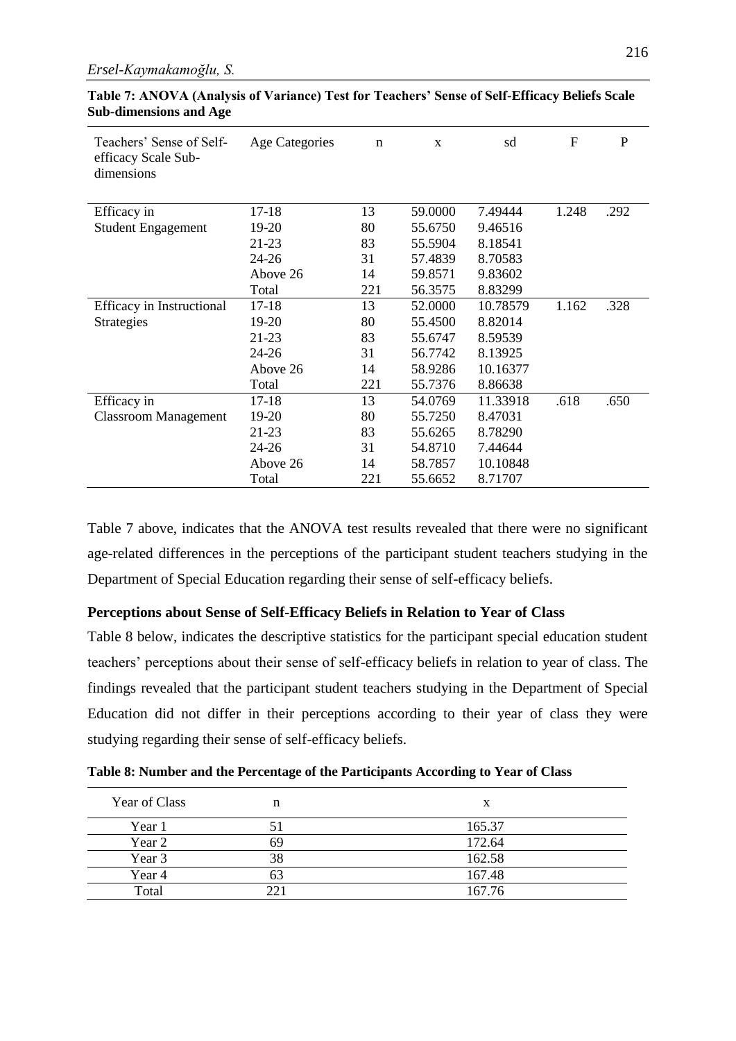| Teachers' Sense of Self-<br>efficacy Scale Sub-<br>dimensions | Age Categories | n   | X       | sd       | $\mathbf F$ | $\mathbf{P}$ |
|---------------------------------------------------------------|----------------|-----|---------|----------|-------------|--------------|
| Efficacy in                                                   | $17 - 18$      | 13  | 59.0000 | 7.49444  | 1.248       | .292         |
| <b>Student Engagement</b>                                     | 19-20          | 80  | 55.6750 | 9.46516  |             |              |
|                                                               | $21 - 23$      | 83  | 55.5904 | 8.18541  |             |              |
|                                                               | $24 - 26$      | 31  | 57.4839 | 8.70583  |             |              |
|                                                               | Above 26       | 14  | 59.8571 | 9.83602  |             |              |
|                                                               | Total          | 221 | 56.3575 | 8.83299  |             |              |
| Efficacy in Instructional                                     | $17-18$        | 13  | 52.0000 | 10.78579 | 1.162       | .328         |
| Strategies                                                    | 19-20          | 80  | 55.4500 | 8.82014  |             |              |
|                                                               | $21-23$        | 83  | 55.6747 | 8.59539  |             |              |
|                                                               | 24-26          | 31  | 56.7742 | 8.13925  |             |              |
|                                                               | Above 26       | 14  | 58.9286 | 10.16377 |             |              |
|                                                               | Total          | 221 | 55.7376 | 8.86638  |             |              |
| Efficacy in                                                   | 17-18          | 13  | 54.0769 | 11.33918 | .618        | .650         |
| <b>Classroom Management</b>                                   | 19-20          | 80  | 55.7250 | 8.47031  |             |              |
|                                                               | 21-23          | 83  | 55.6265 | 8.78290  |             |              |
|                                                               | $24 - 26$      | 31  | 54.8710 | 7.44644  |             |              |
|                                                               | Above 26       | 14  | 58.7857 | 10.10848 |             |              |
|                                                               | Total          | 221 | 55.6652 | 8.71707  |             |              |

**Table 7: ANOVA (Analysis of Variance) Test for Teachers' Sense of Self-Efficacy Beliefs Scale Sub-dimensions and Age**

Table 7 above, indicates that the ANOVA test results revealed that there were no significant age-related differences in the perceptions of the participant student teachers studying in the Department of Special Education regarding their sense of self-efficacy beliefs.

## **Perceptions about Sense of Self-Efficacy Beliefs in Relation to Year of Class**

Table 8 below, indicates the descriptive statistics for the participant special education student teachers' perceptions about their sense of self-efficacy beliefs in relation to year of class. The findings revealed that the participant student teachers studying in the Department of Special Education did not differ in their perceptions according to their year of class they were studying regarding their sense of self-efficacy beliefs.

| Year of Class | n    | x      |
|---------------|------|--------|
| Year 1        | 5 I  | 165.37 |
| Year 2        | 69   | 172.64 |
| Year 3        | 38   | 162.58 |
| Year 4        | 63   | 167.48 |
| Total         | າາ 1 | 167.76 |

**Table 8: Number and the Percentage of the Participants According to Year of Class**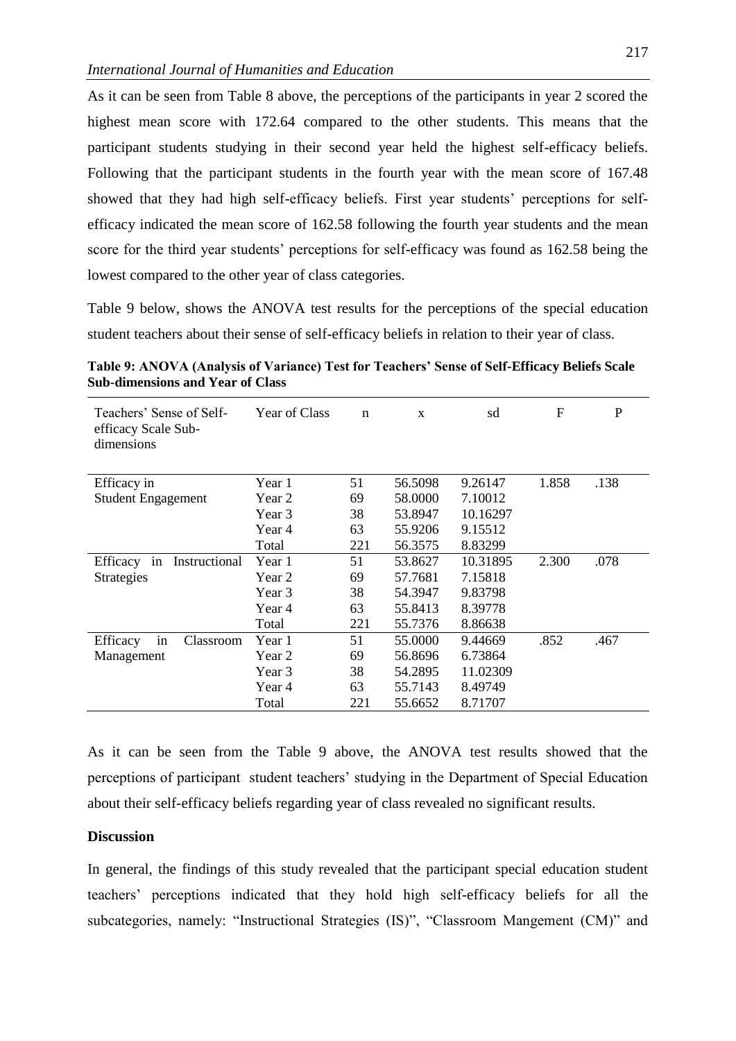As it can be seen from Table 8 above, the perceptions of the participants in year 2 scored the highest mean score with 172.64 compared to the other students. This means that the participant students studying in their second year held the highest self-efficacy beliefs. Following that the participant students in the fourth year with the mean score of 167.48 showed that they had high self-efficacy beliefs. First year students' perceptions for selfefficacy indicated the mean score of 162.58 following the fourth year students and the mean score for the third year students' perceptions for self-efficacy was found as 162.58 being the lowest compared to the other year of class categories.

Table 9 below, shows the ANOVA test results for the perceptions of the special education student teachers about their sense of self-efficacy beliefs in relation to their year of class.

**Table 9: ANOVA (Analysis of Variance) Test for Teachers' Sense of Self-Efficacy Beliefs Scale Sub-dimensions and Year of Class**

| Teachers' Sense of Self-<br>efficacy Scale Sub-<br>dimensions | <b>Year of Class</b> | $\mathbf n$ | X       | sd       | F     | P    |
|---------------------------------------------------------------|----------------------|-------------|---------|----------|-------|------|
| Efficacy in                                                   | Year 1               | 51          | 56.5098 | 9.26147  | 1.858 | .138 |
| <b>Student Engagement</b>                                     | Year 2               | 69          | 58.0000 | 7.10012  |       |      |
|                                                               | Year 3               | 38          | 53.8947 | 10.16297 |       |      |
|                                                               | Year 4               | 63          | 55.9206 | 9.15512  |       |      |
|                                                               | Total                | 221         | 56.3575 | 8.83299  |       |      |
| Instructional<br>Efficacy<br>in                               | Year 1               | 51          | 53.8627 | 10.31895 | 2.300 | .078 |
| <b>Strategies</b>                                             | Year 2               | 69          | 57.7681 | 7.15818  |       |      |
|                                                               | Year 3               | 38          | 54.3947 | 9.83798  |       |      |
|                                                               | Year 4               | 63          | 55.8413 | 8.39778  |       |      |
|                                                               | Total                | 221         | 55.7376 | 8.86638  |       |      |
| in<br>Efficacy<br>Classroom                                   | Year 1               | 51          | 55.0000 | 9.44669  | .852  | .467 |
| Management                                                    | Year 2               | 69          | 56.8696 | 6.73864  |       |      |
|                                                               | Year 3               | 38          | 54.2895 | 11.02309 |       |      |
|                                                               | Year 4               | 63          | 55.7143 | 8.49749  |       |      |
|                                                               | Total                | 221         | 55.6652 | 8.71707  |       |      |

As it can be seen from the Table 9 above, the ANOVA test results showed that the perceptions of participant student teachers' studying in the Department of Special Education about their self-efficacy beliefs regarding year of class revealed no significant results.

## **Discussion**

In general, the findings of this study revealed that the participant special education student teachers' perceptions indicated that they hold high self-efficacy beliefs for all the subcategories, namely: "Instructional Strategies (IS)", "Classroom Mangement (CM)" and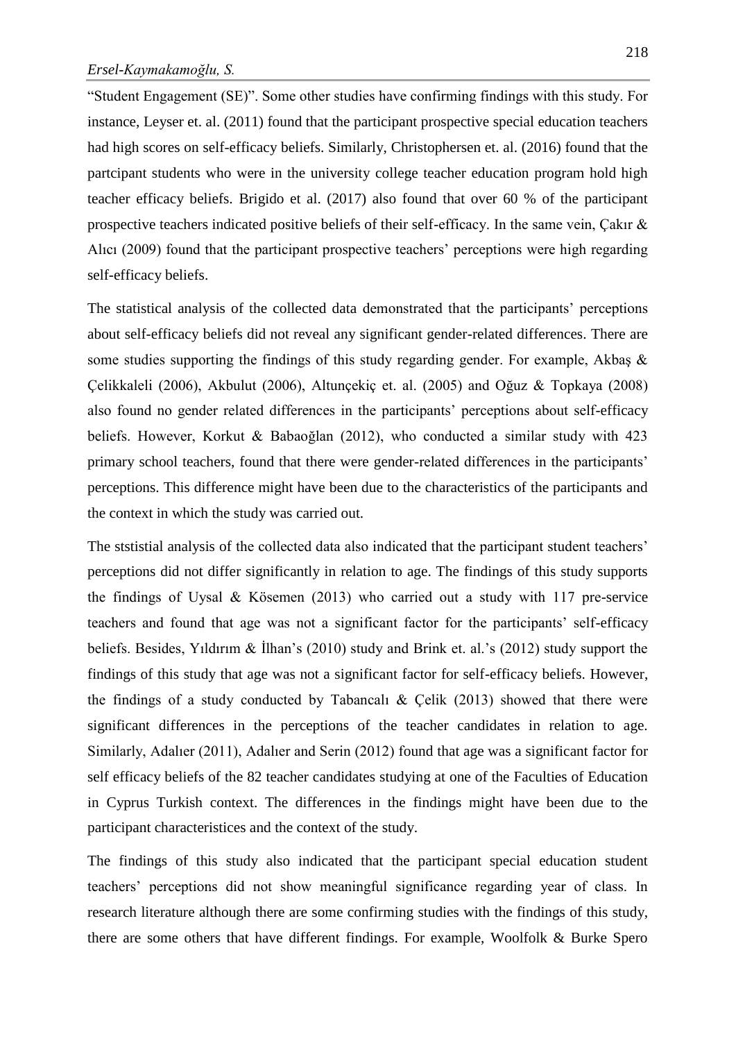"Student Engagement (SE)". Some other studies have confirming findings with this study. For instance, Leyser et. al. (2011) found that the participant prospective special education teachers had high scores on self-efficacy beliefs. Similarly, Christophersen et. al. (2016) found that the partcipant students who were in the university college teacher education program hold high teacher efficacy beliefs. Brigido et al. (2017) also found that over 60 % of the participant prospective teachers indicated positive beliefs of their self-efficacy. In the same vein, Çakır & Alıcı (2009) found that the participant prospective teachers' perceptions were high regarding self-efficacy beliefs.

The statistical analysis of the collected data demonstrated that the participants' perceptions about self-efficacy beliefs did not reveal any significant gender-related differences. There are some studies supporting the findings of this study regarding gender. For example, Akbaş & Çelikkaleli (2006), Akbulut (2006), Altunçekiç et. al. (2005) and Oğuz & Topkaya (2008) also found no gender related differences in the participants' perceptions about self-efficacy beliefs. However, Korkut & Babaoğlan (2012), who conducted a similar study with 423 primary school teachers, found that there were gender-related differences in the participants' perceptions. This difference might have been due to the characteristics of the participants and the context in which the study was carried out.

The ststistial analysis of the collected data also indicated that the participant student teachers' perceptions did not differ significantly in relation to age. The findings of this study supports the findings of Uysal & Kösemen (2013) who carried out a study with 117 pre-service teachers and found that age was not a significant factor for the participants' self-efficacy beliefs. Besides, Yıldırım & İlhan's (2010) study and Brink et. al.'s (2012) study support the findings of this study that age was not a significant factor for self-efficacy beliefs. However, the findings of a study conducted by Tabancalı & Çelik (2013) showed that there were significant differences in the perceptions of the teacher candidates in relation to age. Similarly, Adalıer (2011), Adalıer and Serin (2012) found that age was a significant factor for self efficacy beliefs of the 82 teacher candidates studying at one of the Faculties of Education in Cyprus Turkish context. The differences in the findings might have been due to the participant characteristices and the context of the study.

The findings of this study also indicated that the participant special education student teachers' perceptions did not show meaningful significance regarding year of class. In research literature although there are some confirming studies with the findings of this study, there are some others that have different findings. For example, Woolfolk & Burke Spero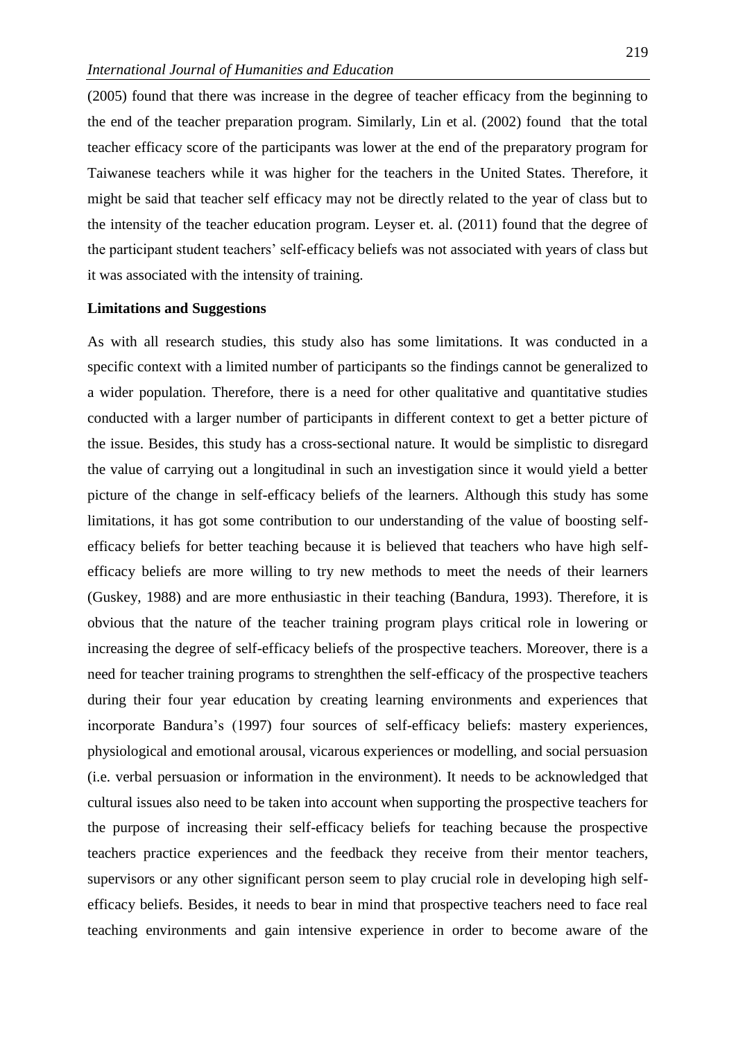(2005) found that there was increase in the degree of teacher efficacy from the beginning to the end of the teacher preparation program. Similarly, Lin et al. (2002) found that the total teacher efficacy score of the participants was lower at the end of the preparatory program for Taiwanese teachers while it was higher for the teachers in the United States. Therefore, it might be said that teacher self efficacy may not be directly related to the year of class but to the intensity of the teacher education program. Leyser et. al. (2011) found that the degree of the participant student teachers' self-efficacy beliefs was not associated with years of class but it was associated with the intensity of training.

#### **Limitations and Suggestions**

As with all research studies, this study also has some limitations. It was conducted in a specific context with a limited number of participants so the findings cannot be generalized to a wider population. Therefore, there is a need for other qualitative and quantitative studies conducted with a larger number of participants in different context to get a better picture of the issue. Besides, this study has a cross-sectional nature. It would be simplistic to disregard the value of carrying out a longitudinal in such an investigation since it would yield a better picture of the change in self-efficacy beliefs of the learners. Although this study has some limitations, it has got some contribution to our understanding of the value of boosting selfefficacy beliefs for better teaching because it is believed that teachers who have high selfefficacy beliefs are more willing to try new methods to meet the needs of their learners (Guskey, 1988) and are more enthusiastic in their teaching (Bandura, 1993). Therefore, it is obvious that the nature of the teacher training program plays critical role in lowering or increasing the degree of self-efficacy beliefs of the prospective teachers. Moreover, there is a need for teacher training programs to strenghthen the self-efficacy of the prospective teachers during their four year education by creating learning environments and experiences that incorporate Bandura's (1997) four sources of self-efficacy beliefs: mastery experiences, physiological and emotional arousal, vicarous experiences or modelling, and social persuasion (i.e. verbal persuasion or information in the environment). It needs to be acknowledged that cultural issues also need to be taken into account when supporting the prospective teachers for the purpose of increasing their self-efficacy beliefs for teaching because the prospective teachers practice experiences and the feedback they receive from their mentor teachers, supervisors or any other significant person seem to play crucial role in developing high selfefficacy beliefs. Besides, it needs to bear in mind that prospective teachers need to face real teaching environments and gain intensive experience in order to become aware of the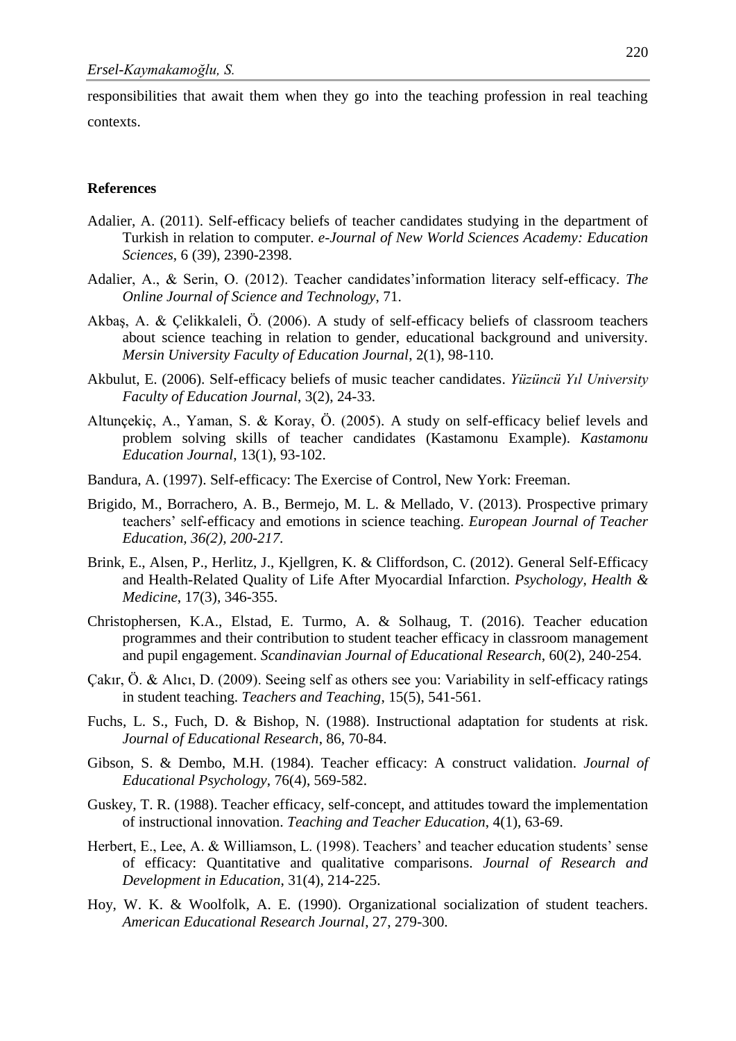responsibilities that await them when they go into the teaching profession in real teaching contexts.

#### **References**

- Adalier, A. (2011). Self-efficacy beliefs of teacher candidates studying in the department of Turkish in relation to computer. *e-Journal of New World Sciences Academy: Education Sciences*, 6 (39), 2390-2398.
- Adalier, A., & Serin, O. (2012). Teacher candidates'information literacy self-efficacy. *The Online Journal of Science and Technology*, 71.
- Akbaş, A. & Çelikkaleli, Ö. (2006). A study of self-efficacy beliefs of classroom teachers about science teaching in relation to gender, educational background and university. *Mersin University Faculty of Education Journal*, 2(1), 98-110.
- Akbulut, E. (2006). Self-efficacy beliefs of music teacher candidates. *Yüzüncü Yıl University Faculty of Education Journal*, 3(2), 24-33.
- Altunçekiç, A., Yaman, S. & Koray, Ö. (2005). A study on self-efficacy belief levels and problem solving skills of teacher candidates (Kastamonu Example). *Kastamonu Education Journal*, 13(1), 93-102.
- Bandura, A. (1997). Self-efficacy: The Exercise of Control, New York: Freeman.
- Brigido, M., Borrachero, A. B., Bermejo, M. L. & Mellado, V. (2013). Prospective primary teachers' self-efficacy and emotions in science teaching. *European Journal of Teacher Education, 36(2), 200-217.*
- Brink, E., Alsen, P., Herlitz, J., Kjellgren, K. & Cliffordson, C. (2012). General Self-Efficacy and Health-Related Quality of Life After Myocardial Infarction. *Psychology, Health & Medicine*, 17(3), 346-355.
- Christophersen, K.A., Elstad, E. Turmo, A. & Solhaug, T. (2016). Teacher education programmes and their contribution to student teacher efficacy in classroom management and pupil engagement. *Scandinavian Journal of Educational Research*, 60(2), 240-254.
- Çakır, Ö. & Alıcı, D. (2009). Seeing self as others see you: Variability in self-efficacy ratings in student teaching. *Teachers and Teaching*, 15(5), 541-561.
- Fuchs, L. S., Fuch, D. & Bishop, N. (1988). Instructional adaptation for students at risk. *Journal of Educational Research*, 86, 70-84.
- Gibson, S. & Dembo, M.H. (1984). Teacher efficacy: A construct validation. *Journal of Educational Psychology*, 76(4), 569-582.
- Guskey, T. R. (1988). Teacher efficacy, self-concept, and attitudes toward the implementation of instructional innovation. *Teaching and Teacher Education*, 4(1), 63-69.
- Herbert, E., Lee, A. & Williamson, L. (1998). Teachers' and teacher education students' sense of efficacy: Quantitative and qualitative comparisons. *Journal of Research and Development in Education*, 31(4), 214-225.
- Hoy, W. K. & Woolfolk, A. E. (1990). Organizational socialization of student teachers. *American Educational Research Journal*, 27, 279-300.